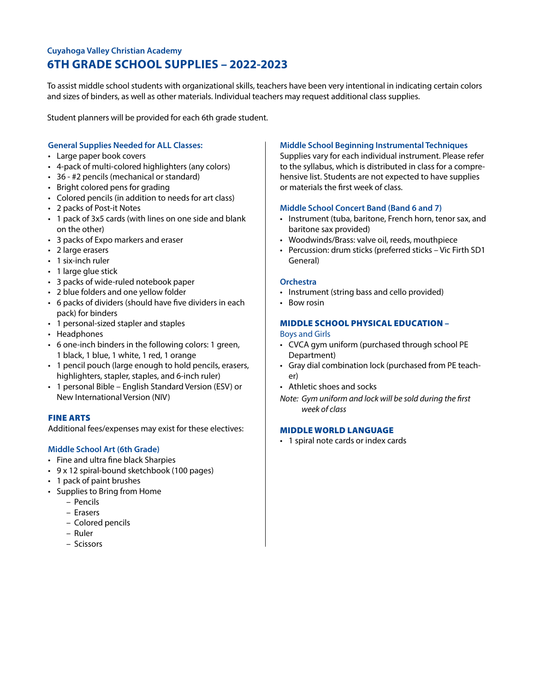# **Cuyahoga Valley Christian Academy 6TH GRADE SCHOOL SUPPLIES – 2022-2023**

To assist middle school students with organizational skills, teachers have been very intentional in indicating certain colors and sizes of binders, as well as other materials. Individual teachers may request additional class supplies.

Student planners will be provided for each 6th grade student.

## **General Supplies Needed for ALL Classes:**

- Large paper book covers
- 4-pack of multi-colored highlighters (any colors)
- 36 #2 pencils (mechanical or standard)
- Bright colored pens for grading
- Colored pencils (in addition to needs for art class)
- 2 packs of Post-it Notes
- 1 pack of 3x5 cards (with lines on one side and blank on the other)
- 3 packs of Expo markers and eraser
- 2 large erasers
- 1 six-inch ruler
- 1 large glue stick
- 3 packs of wide-ruled notebook paper
- 2 blue folders and one yellow folder
- 6 packs of dividers (should have five dividers in each pack) for binders
- 1 personal-sized stapler and staples
- Headphones
- 6 one-inch binders in the following colors: 1 green, 1 black, 1 blue, 1 white, 1 red, 1 orange
- 1 pencil pouch (large enough to hold pencils, erasers, highlighters, stapler, staples, and 6-inch ruler)
- 1 personal Bible English Standard Version (ESV) or New International Version (NIV)

## FINE ARTS

Additional fees/expenses may exist for these electives:

## **Middle School Art (6th Grade)**

- Fine and ultra fine black Sharpies
- 9 x 12 spiral-bound sketchbook (100 pages)
- 1 pack of paint brushes
- Supplies to Bring from Home
	- Pencils
	- Erasers
	- Colored pencils
	- Ruler
	- Scissors

#### **Middle School Beginning Instrumental Techniques**

Supplies vary for each individual instrument. Please refer to the syllabus, which is distributed in class for a comprehensive list. Students are not expected to have supplies or materials the first week of class.

### **Middle School Concert Band (Band 6 and 7)**

- Instrument (tuba, baritone, French horn, tenor sax, and baritone sax provided)
- Woodwinds/Brass: valve oil, reeds, mouthpiece
- Percussion: drum sticks (preferred sticks Vic Firth SD1 General)

#### **Orchestra**

- Instrument (string bass and cello provided)
- Bow rosin

## MIDDLE SCHOOL PHYSICAL EDUCATION **–**  Boys and Girls

- CVCA gym uniform (purchased through school PE Department)
- Gray dial combination lock (purchased from PE teacher)
- Athletic shoes and socks

*Note: Gym uniform and lock will be sold during the first week of class*

#### MIDDLE WORLD LANGUAGE

• 1 spiral note cards or index cards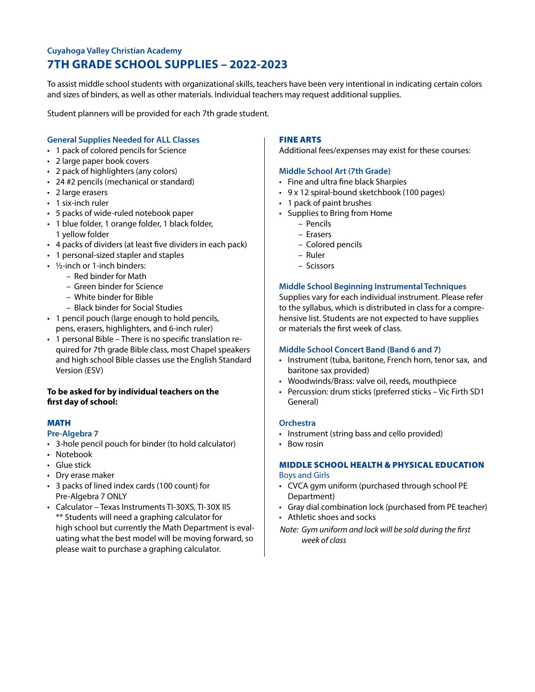# **Cuyahoga Valley Christian Academy 7TH GRADE SCHOOL SUPPLIES – 2022-2023**

To assist middle school students with organizational skills, teachers have been very intentional in indicating certain colors and sizes of binders, as well as other materials. Individual teachers may request additional supplies.

Student planners will be provided for each 7th grade student.

## **General Supplies Needed for ALL Classes**

- 1 pack of colored pencils for Science
- 2 large paper book covers
- 2 pack of highlighters (any colors)
- 24 #2 pencils (mechanical or standard)
- 2 large erasers
- 1 six-inch ruler
- 5 packs of wide-ruled notebook paper
- 1 blue folder, 1 orange folder, 1 black folder, 1 yellow folder
- 4 packs of dividers (at least five dividers in each pack)
- 1 personal-sized stapler and staples
- ½-inch or 1-inch binders:
	- Red binder for Math
	- Green binder for Science
	- White binder for Bible
	- Black binder for Social Studies
- 1 pencil pouch (large enough to hold pencils, pens, erasers, highlighters, and 6-inch ruler)
- 1 personal Bible There is no specific translation required for 7th grade Bible class, most Chapel speakers and high school Bible classes use the English Standard Version (ESV)

## **To be asked for by individual teachers on the first day of school:**

# MATH

- **Pre-Algebra 7**
- 3-hole pencil pouch for binder (to hold calculator)
- Notebook
- Glue stick
- Dry erase maker
- 3 packs of lined index cards (100 count) for Pre-Algebra 7 ONLY
- Calculator Texas Instruments TI-30XS, TI-30X IIS \*\* Students will need a graphing calculator for high school but currently the Math Department is evaluating what the best model will be moving forward, so please wait to purchase a graphing calculator.

## FINE ARTS

Additional fees/expenses may exist for these courses:

#### **Middle School Art (7th Grade)**

- Fine and ultra fine black Sharpies
- 9 x 12 spiral-bound sketchbook (100 pages)
- 1 pack of paint brushes
- Supplies to Bring from Home
	- Pencils
	- Erasers
	- Colored pencils
	- Ruler
	- Scissors

### **Middle School Beginning Instrumental Techniques**

Supplies vary for each individual instrument. Please refer to the syllabus, which is distributed in class for a comprehensive list. Students are not expected to have supplies or materials the first week of class.

#### **Middle School Concert Band (Band 6 and 7)**

- Instrument (tuba, baritone, French horn, tenor sax, and baritone sax provided)
- Woodwinds/Brass: valve oil, reeds, mouthpiece
- Percussion: drum sticks (preferred sticks Vic Firth SD1 General)

#### **Orchestra**

- Instrument (string bass and cello provided)
- Bow rosin

### MIDDLE SCHOOL HEALTH & PHYSICAL EDUCATION Boys and Girls

- CVCA gym uniform (purchased through school PE Department)
- Gray dial combination lock (purchased from PE teacher)
- Athletic shoes and socks
- *Note: Gym uniform and lock will be sold during the first week of class*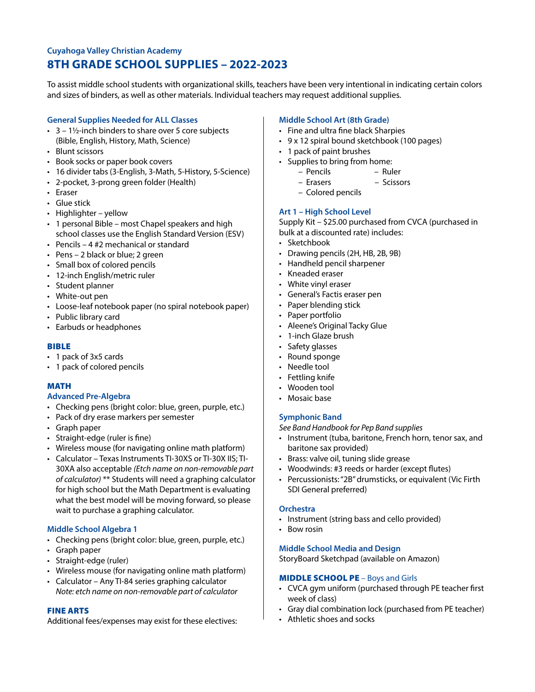# **Cuyahoga Valley Christian Academy 8TH GRADE SCHOOL SUPPLIES – 2022-2023**

To assist middle school students with organizational skills, teachers have been very intentional in indicating certain colors and sizes of binders, as well as other materials. Individual teachers may request additional supplies.

## **General Supplies Needed for ALL Classes**

- $\cdot$  3 1½-inch binders to share over 5 core subjects (Bible, English, History, Math, Science)
- Blunt scissors
- Book socks or paper book covers
- 16 divider tabs (3-English, 3-Math, 5-History, 5-Science)
- 2-pocket, 3-prong green folder (Health)
- Eraser
- Glue stick
- Highlighter yellow
- 1 personal Bible most Chapel speakers and high school classes use the English Standard Version (ESV)
- Pencils 4 #2 mechanical or standard
- Pens 2 black or blue; 2 green
- Small box of colored pencils
- 12-inch English/metric ruler
- Student planner
- White-out pen
- Loose-leaf notebook paper (no spiral notebook paper)
- Public library card
- Earbuds or headphones

## BIBLE

- 1 pack of 3x5 cards
- 1 pack of colored pencils

## MATH

## **Advanced Pre-Algebra**

- Checking pens (bright color: blue, green, purple, etc.)
- Pack of dry erase markers per semester
- Graph paper
- Straight-edge (ruler is fine)
- Wireless mouse (for navigating online math platform)
- Calculator Texas Instruments TI-30XS or TI-30X IIS; TI-30XA also acceptable *(Etch name on non-removable part of calculator)* \*\* Students will need a graphing calculator for high school but the Math Department is evaluating what the best model will be moving forward, so please wait to purchase a graphing calculator.

## **Middle School Algebra 1**

- Checking pens (bright color: blue, green, purple, etc.)
- Graph paper
- Straight-edge (ruler)
- Wireless mouse (for navigating online math platform)
- Calculator Any TI-84 series graphing calculator *Note: etch name on non-removable part of calculator*

## FINE ARTS

Additional fees/expenses may exist for these electives:

## **Middle School Art (8th Grade)**

- Fine and ultra fine black Sharpies
- 9 x 12 spiral bound sketchbook (100 pages)
- 1 pack of paint brushes
- Supplies to bring from home:
	- Pencils Ruler
	- Erasers Scissors
	- Colored pencils

## **Art 1 – High School Level**

Supply Kit – \$25.00 purchased from CVCA (purchased in bulk at a discounted rate) includes:

- Sketchbook
- Drawing pencils (2H, HB, 2B, 9B)
- Handheld pencil sharpener
- Kneaded eraser
- White vinyl eraser
- General's Factis eraser pen
- Paper blending stick
- Paper portfolio
- Aleene's Original Tacky Glue
- 1-inch Glaze brush
- Safety glasses
- Round sponge
- Needle tool
- Fettling knife
- Wooden tool
- Mosaic base

## **Symphonic Band**

*See Band Handbook for Pep Band supplies*

- Instrument (tuba, baritone, French horn, tenor sax, and baritone sax provided)
- Brass: valve oil, tuning slide grease
- Woodwinds: #3 reeds or harder (except flutes)
- Percussionists: "2B" drumsticks, or equivalent (Vic Firth SDI General preferred)

#### **Orchestra**

- Instrument (string bass and cello provided)
- Bow rosin

## **Middle School Media and Design**

StoryBoard Sketchpad (available on Amazon)

#### MIDDLE SCHOOL PE – Boys and Girls

- CVCA gym uniform (purchased through PE teacher first week of class)
- Gray dial combination lock (purchased from PE teacher)
- Athletic shoes and socks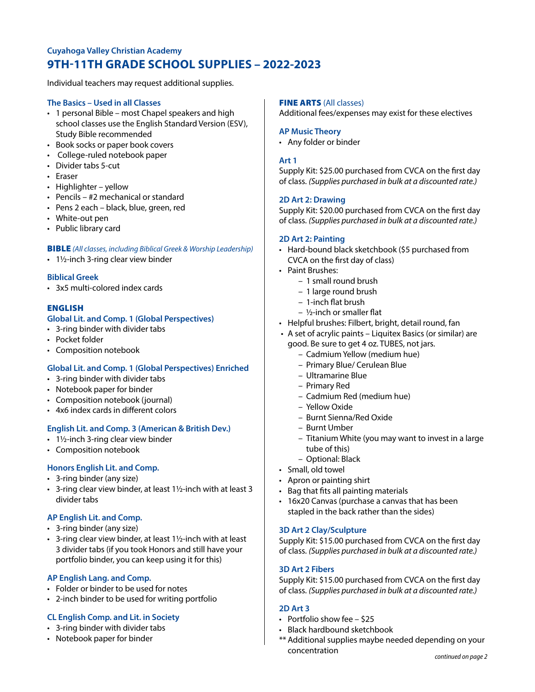# **Cuyahoga Valley Christian Academy 9TH-11TH GRADE SCHOOL SUPPLIES – 2022-2023**

Individual teachers may request additional supplies.

## **The Basics – Used in all Classes**

- 1 personal Bible most Chapel speakers and high school classes use the English Standard Version (ESV), Study Bible recommended
- Book socks or paper book covers
- College-ruled notebook paper
- Divider tabs 5-cut
- Eraser
- Highlighter yellow
- Pencils #2 mechanical or standard
- Pens 2 each black, blue, green, red
- White-out pen
- Public library card

#### BIBLE *(All classes, including Biblical Greek & Worship Leadership)*

• 1½-inch 3-ring clear view binder

## **Biblical Greek**

• 3x5 multi-colored index cards

## ENGLISH

## **Global Lit. and Comp. 1 (Global Perspectives)**

- 3-ring binder with divider tabs
- Pocket folder
- Composition notebook

## **Global Lit. and Comp. 1 (Global Perspectives) Enriched**

- 3-ring binder with divider tabs
- Notebook paper for binder
- Composition notebook (journal)
- 4x6 index cards in different colors

## **English Lit. and Comp. 3 (American & British Dev.)**

- 1½-inch 3-ring clear view binder
- Composition notebook

## **Honors English Lit. and Comp.**

- 3-ring binder (any size)
- 3-ring clear view binder, at least 1½-inch with at least 3 divider tabs

## **AP English Lit. and Comp.**

- 3-ring binder (any size)
- 3-ring clear view binder, at least 1½-inch with at least 3 divider tabs (if you took Honors and still have your portfolio binder, you can keep using it for this)

#### **AP English Lang. and Comp.**

- Folder or binder to be used for notes
- 2-inch binder to be used for writing portfolio

## **CL English Comp. and Lit. in Society**

- 3-ring binder with divider tabs
- Notebook paper for binder

#### FINE ARTS (All classes)

Additional fees/expenses may exist for these electives

#### **AP Music Theory**

• Any folder or binder

### **Art 1**

Supply Kit: \$25.00 purchased from CVCA on the first day of class. *(Supplies purchased in bulk at a discounted rate.)*

## **2D Art 2: Drawing**

Supply Kit: \$20.00 purchased from CVCA on the first day of class. *(Supplies purchased in bulk at a discounted rate.)*

### **2D Art 2: Painting**

- Hard-bound black sketchbook (\$5 purchased from CVCA on the first day of class)
- Paint Brushes:
	- 1 small round brush
	- 1 large round brush
	- 1-inch flat brush
	- ½-inch or smaller flat
- Helpful brushes: Filbert, bright, detail round, fan
- A set of acrylic paints Liquitex Basics (or similar) are good. Be sure to get 4 oz. TUBES, not jars.
	- Cadmium Yellow (medium hue)
	- Primary Blue/ Cerulean Blue
	- Ultramarine Blue
	- Primary Red
	- Cadmium Red (medium hue)
	- Yellow Oxide
	- Burnt Sienna/Red Oxide
	- Burnt Umber
	- Titanium White (you may want to invest in a large tube of this)
	- Optional: Black
- Small, old towel
- Apron or painting shirt
- Bag that fits all painting materials
- 16x20 Canvas (purchase a canvas that has been stapled in the back rather than the sides)

#### **3D Art 2 Clay/Sculpture**

Supply Kit: \$15.00 purchased from CVCA on the first day of class. *(Supplies purchased in bulk at a discounted rate.)*

## **3D Art 2 Fibers**

Supply Kit: \$15.00 purchased from CVCA on the first day of class. *(Supplies purchased in bulk at a discounted rate.)*

#### **2D Art 3**

- Portfolio show fee \$25
- Black hardbound sketchbook
- \*\* Additional supplies maybe needed depending on your concentration